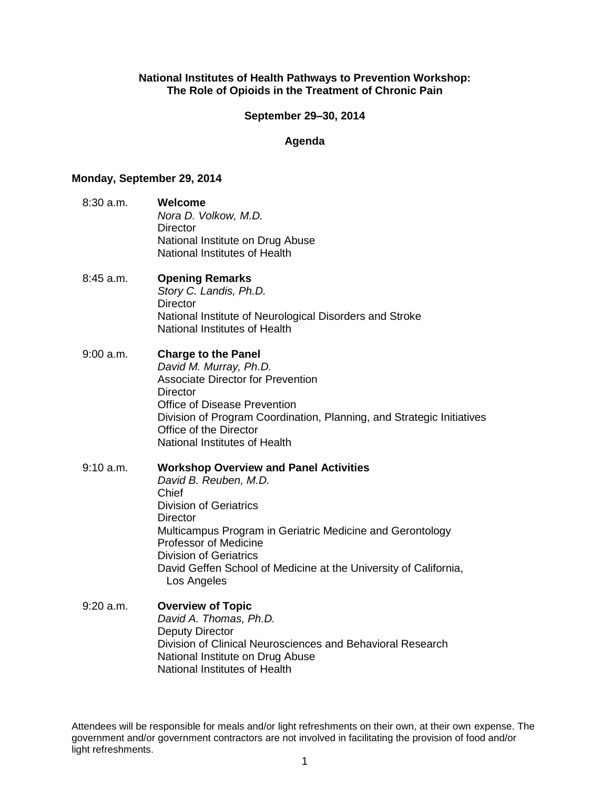#### **National Institutes of Health Pathways to Prevention Workshop: The Role of Opioids in the Treatment of Chronic Pain**

#### **September 29–30, 2014**

#### **Agenda**

#### **Monday, September 29, 2014**

- 8:30 a.m. **Welcome** *Nora D. Volkow, M.D.* **Director** National Institute on Drug Abuse National Institutes of Health
- 8:45 a.m. **Opening Remarks** *Story C. Landis, Ph.D.* **Director** National Institute of Neurological Disorders and Stroke National Institutes of Health
- 9:00 a.m. **Charge to the Panel** *David M. Murray, Ph.D.* Associate Director for Prevention **Director** Office of Disease Prevention Division of Program Coordination, Planning, and Strategic Initiatives Office of the Director National Institutes of Health
- 9:10 a.m. **Workshop Overview and Panel Activities** *David B. Reuben, M.D.* Chief Division of Geriatrics **Director** Multicampus Program in Geriatric Medicine and Gerontology Professor of Medicine Division of Geriatrics David Geffen School of Medicine at the University of California, Los Angeles
- 9:20 a.m. **Overview of Topic** *David A. Thomas, Ph.D.* Deputy Director Division of Clinical Neurosciences and Behavioral Research National Institute on Drug Abuse National Institutes of Health

Attendees will be responsible for meals and/or light refreshments on their own, at their own expense. The government and/or government contractors are not involved in facilitating the provision of food and/or light refreshments.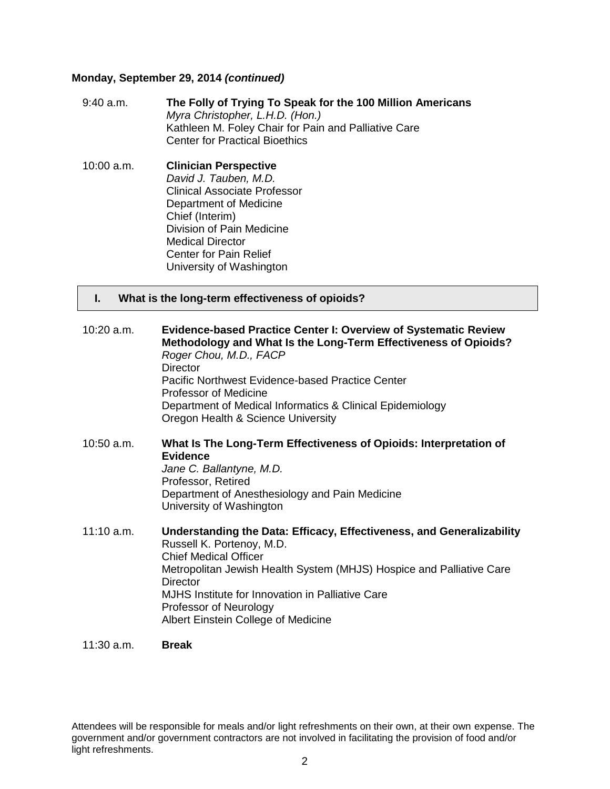#### **Monday, September 29, 2014** *(continued)*

- 9:40 a.m. **The Folly of Trying To Speak for the 100 Million Americans** *Myra Christopher, L.H.D. (Hon.)* Kathleen M. Foley Chair for Pain and Palliative Care Center for Practical Bioethics
- 10:00 a.m. **Clinician Perspective** *David J. Tauben, M.D.* Clinical Associate Professor Department of Medicine Chief (Interim) Division of Pain Medicine Medical Director Center for Pain Relief University of Washington

#### **I. What is the long-term effectiveness of opioids?**

- 10:20 a.m. **Evidence-based Practice Center I: Overview of Systematic Review Methodology and What Is the Long-Term Effectiveness of Opioids?**  *Roger Chou, M.D., FACP* **Director** Pacific Northwest Evidence-based Practice Center Professor of Medicine Department of Medical Informatics & Clinical Epidemiology Oregon Health & Science University
- 10:50 a.m. **What Is The Long-Term Effectiveness of Opioids: Interpretation of Evidence** *Jane C. Ballantyne, M.D.* Professor, Retired Department of Anesthesiology and Pain Medicine University of Washington
- 11:10 a.m. **Understanding the Data: Efficacy, Effectiveness, and Generalizability** Russell K. Portenoy, M.D. Chief Medical Officer Metropolitan Jewish Health System (MHJS) Hospice and Palliative Care **Director** MJHS Institute for Innovation in Palliative Care Professor of Neurology Albert Einstein College of Medicine
- 11:30 a.m. **Break**

Attendees will be responsible for meals and/or light refreshments on their own, at their own expense. The government and/or government contractors are not involved in facilitating the provision of food and/or light refreshments.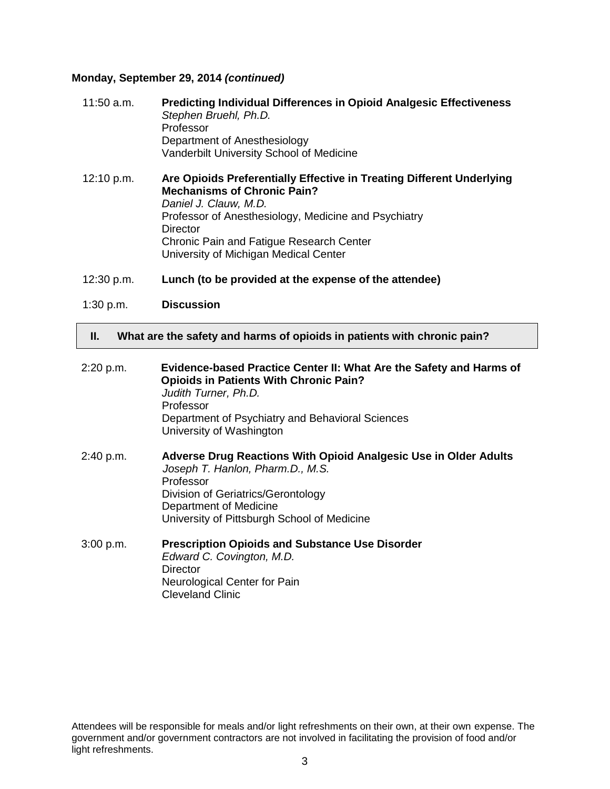#### **Monday, September 29, 2014** *(continued)*

| $11:50$ a.m. | <b>Predicting Individual Differences in Opioid Analgesic Effectiveness</b><br>Stephen Bruehl, Ph.D.<br>Professor<br>Department of Anesthesiology<br>Vanderbilt University School of Medicine                                                                                                  |
|--------------|-----------------------------------------------------------------------------------------------------------------------------------------------------------------------------------------------------------------------------------------------------------------------------------------------|
| 12:10 p.m.   | Are Opioids Preferentially Effective in Treating Different Underlying<br><b>Mechanisms of Chronic Pain?</b><br>Daniel J. Clauw, M.D.<br>Professor of Anesthesiology, Medicine and Psychiatry<br>Director<br>Chronic Pain and Fatigue Research Center<br>University of Michigan Medical Center |

- 12:30 p.m. **Lunch (to be provided at the expense of the attendee)**
- 1:30 p.m. **Discussion**

#### **II. What are the safety and harms of opioids in patients with chronic pain?**

2:20 p.m. **Evidence-based Practice Center II: What Are the Safety and Harms of Opioids in Patients With Chronic Pain?** *Judith Turner, Ph.D.* Professor Department of Psychiatry and Behavioral Sciences University of Washington 2:40 p.m. **Adverse Drug Reactions With Opioid Analgesic Use in Older Adults** *Joseph T. Hanlon, Pharm.D., M.S.* Professor Division of Geriatrics/Gerontology Department of Medicine University of Pittsburgh School of Medicine 3:00 p.m. **Prescription Opioids and Substance Use Disorder** *Edward C. Covington, M.D.*

**Director** Neurological Center for Pain Cleveland Clinic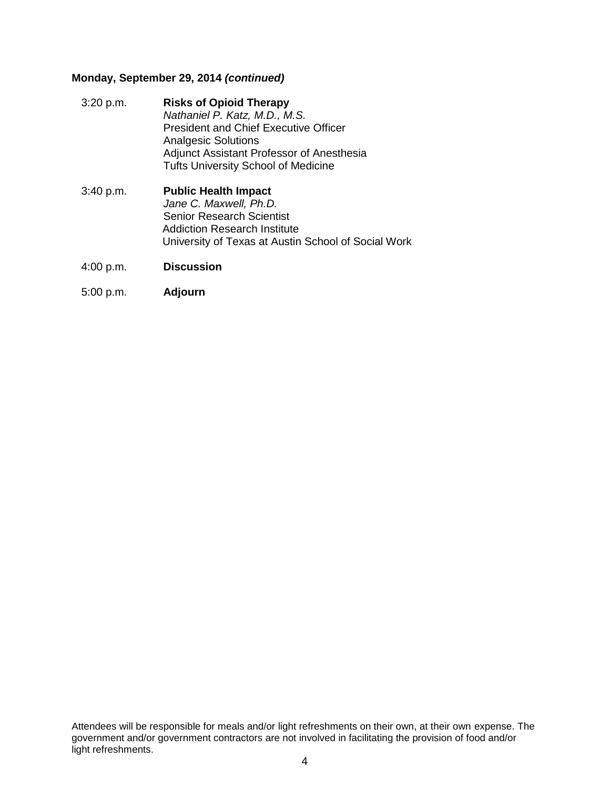### **Monday, September 29, 2014** *(continued)*

- 3:20 p.m. **Risks of Opioid Therapy** *Nathaniel P. Katz, M.D., M.S.* President and Chief Executive Officer Analgesic Solutions Adjunct Assistant Professor of Anesthesia Tufts University School of Medicine
- 3:40 p.m. **Public Health Impact** *Jane C. Maxwell, Ph.D.* Senior Research Scientist Addiction Research Institute University of Texas at Austin School of Social Work
- 4:00 p.m. **Discussion**
- 5:00 p.m. **Adjourn**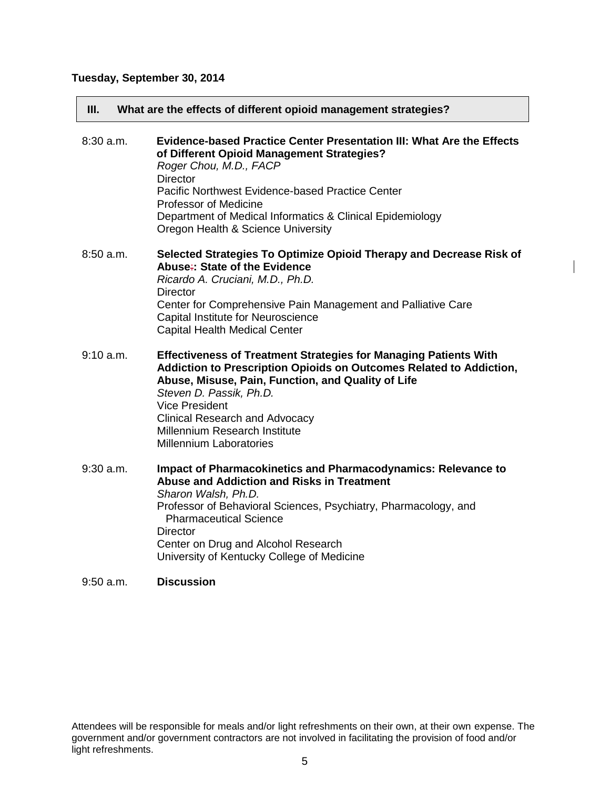# **Tuesday, September 30, 2014**

| III.        | What are the effects of different opioid management strategies?                                                                                                                                                                                                                                                                                                      |
|-------------|----------------------------------------------------------------------------------------------------------------------------------------------------------------------------------------------------------------------------------------------------------------------------------------------------------------------------------------------------------------------|
| $8:30$ a.m. | <b>Evidence-based Practice Center Presentation III: What Are the Effects</b><br>of Different Opioid Management Strategies?<br>Roger Chou, M.D., FACP<br><b>Director</b><br>Pacific Northwest Evidence-based Practice Center<br><b>Professor of Medicine</b><br>Department of Medical Informatics & Clinical Epidemiology<br>Oregon Health & Science University       |
| $8:50$ a.m. | Selected Strategies To Optimize Opioid Therapy and Decrease Risk of<br>Abuse: State of the Evidence<br>Ricardo A. Cruciani, M.D., Ph.D.<br><b>Director</b><br>Center for Comprehensive Pain Management and Palliative Care<br>Capital Institute for Neuroscience<br><b>Capital Health Medical Center</b>                                                             |
| 9:10 a.m.   | <b>Effectiveness of Treatment Strategies for Managing Patients With</b><br>Addiction to Prescription Opioids on Outcomes Related to Addiction,<br>Abuse, Misuse, Pain, Function, and Quality of Life<br>Steven D. Passik, Ph.D.<br><b>Vice President</b><br><b>Clinical Research and Advocacy</b><br>Millennium Research Institute<br><b>Millennium Laboratories</b> |
| $9:30$ a.m. | <b>Impact of Pharmacokinetics and Pharmacodynamics: Relevance to</b><br><b>Abuse and Addiction and Risks in Treatment</b><br>Sharon Walsh, Ph.D.<br>Professor of Behavioral Sciences, Psychiatry, Pharmacology, and<br><b>Pharmaceutical Science</b><br><b>Director</b><br>Center on Drug and Alcohol Research<br>University of Kentucky College of Medicine         |
| $9:50$ a.m. | <b>Discussion</b>                                                                                                                                                                                                                                                                                                                                                    |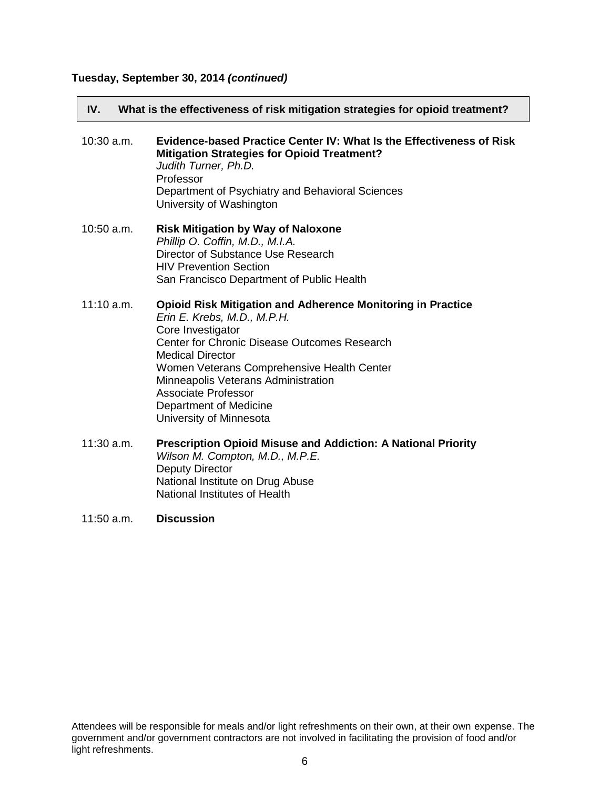# **Tuesday, September 30, 2014** *(continued)*

| IV.<br>What is the effectiveness of risk mitigation strategies for opioid treatment? |                                                                                                                                                                                                                                                                                                                                                                    |  |
|--------------------------------------------------------------------------------------|--------------------------------------------------------------------------------------------------------------------------------------------------------------------------------------------------------------------------------------------------------------------------------------------------------------------------------------------------------------------|--|
| $10:30$ a.m.                                                                         | Evidence-based Practice Center IV: What Is the Effectiveness of Risk<br><b>Mitigation Strategies for Opioid Treatment?</b><br>Judith Turner, Ph.D.<br>Professor<br>Department of Psychiatry and Behavioral Sciences<br>University of Washington                                                                                                                    |  |
| $10:50$ a.m.                                                                         | <b>Risk Mitigation by Way of Naloxone</b><br>Phillip O. Coffin, M.D., M.I.A.<br>Director of Substance Use Research<br><b>HIV Prevention Section</b><br>San Francisco Department of Public Health                                                                                                                                                                   |  |
| $11:10$ a.m.                                                                         | <b>Opioid Risk Mitigation and Adherence Monitoring in Practice</b><br>Erin E. Krebs, M.D., M.P.H.<br>Core Investigator<br>Center for Chronic Disease Outcomes Research<br><b>Medical Director</b><br>Women Veterans Comprehensive Health Center<br>Minneapolis Veterans Administration<br>Associate Professor<br>Department of Medicine<br>University of Minnesota |  |
| 11:30 a.m.                                                                           | Prescription Opioid Misuse and Addiction: A National Priority<br>Wilson M. Compton, M.D., M.P.E.<br><b>Deputy Director</b><br>National Institute on Drug Abuse<br>National Institutes of Health                                                                                                                                                                    |  |

## 11:50 a.m. **Discussion**